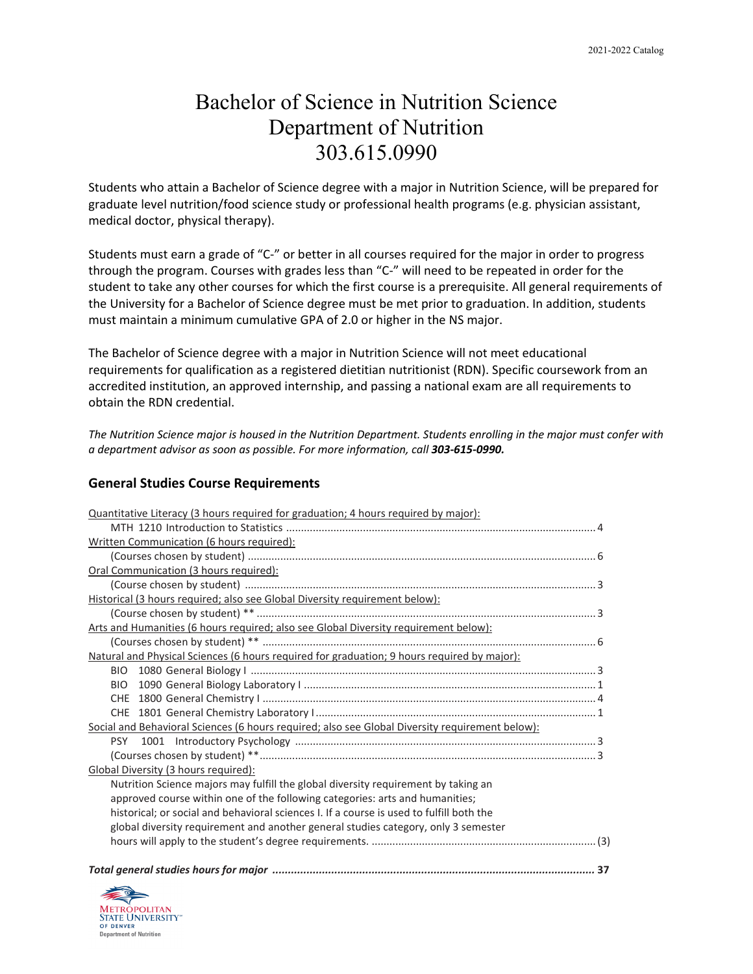## Bachelor of Science in Nutrition Science Department of Nutrition 303.615.0990

Students who attain a Bachelor of Science degree with a major in Nutrition Science, will be prepared for graduate level nutrition/food science study or professional health programs (e.g. physician assistant, medical doctor, physical therapy).

Students must earn a grade of "C-" or better in all courses required for the major in order to progress through the program. Courses with grades less than "C-" will need to be repeated in order for the student to take any other courses for which the first course is a prerequisite. All general requirements of the University for a Bachelor of Science degree must be met prior to graduation. In addition, students must maintain a minimum cumulative GPA of 2.0 or higher in the NS major.

The Bachelor of Science degree with a major in Nutrition Science will not meet educational requirements for qualification as a registered dietitian nutritionist (RDN). Specific coursework from an accredited institution, an approved internship, and passing a national exam are all requirements to obtain the RDN credential.

*The Nutrition Science major is housed in the Nutrition Department. Students enrolling in the major must confer with a department advisor as soon as possible. For more information, call 303-615-0990.*

### **General Studies Course Requirements**

| Quantitative Literacy (3 hours required for graduation; 4 hours required by major):             |
|-------------------------------------------------------------------------------------------------|
|                                                                                                 |
| Written Communication (6 hours required):                                                       |
|                                                                                                 |
| Oral Communication (3 hours required):                                                          |
|                                                                                                 |
| Historical (3 hours required; also see Global Diversity requirement below):                     |
|                                                                                                 |
| Arts and Humanities (6 hours required; also see Global Diversity requirement below):            |
|                                                                                                 |
| Natural and Physical Sciences (6 hours required for graduation; 9 hours required by major):     |
|                                                                                                 |
| BIO -                                                                                           |
|                                                                                                 |
|                                                                                                 |
| Social and Behavioral Sciences (6 hours required; also see Global Diversity requirement below): |
|                                                                                                 |
|                                                                                                 |
| Global Diversity (3 hours required):                                                            |
| Nutrition Science majors may fulfill the global diversity requirement by taking an              |
| approved course within one of the following categories: arts and humanities;                    |
| historical; or social and behavioral sciences I. If a course is used to fulfill both the        |
| global diversity requirement and another general studies category, only 3 semester              |
|                                                                                                 |
|                                                                                                 |

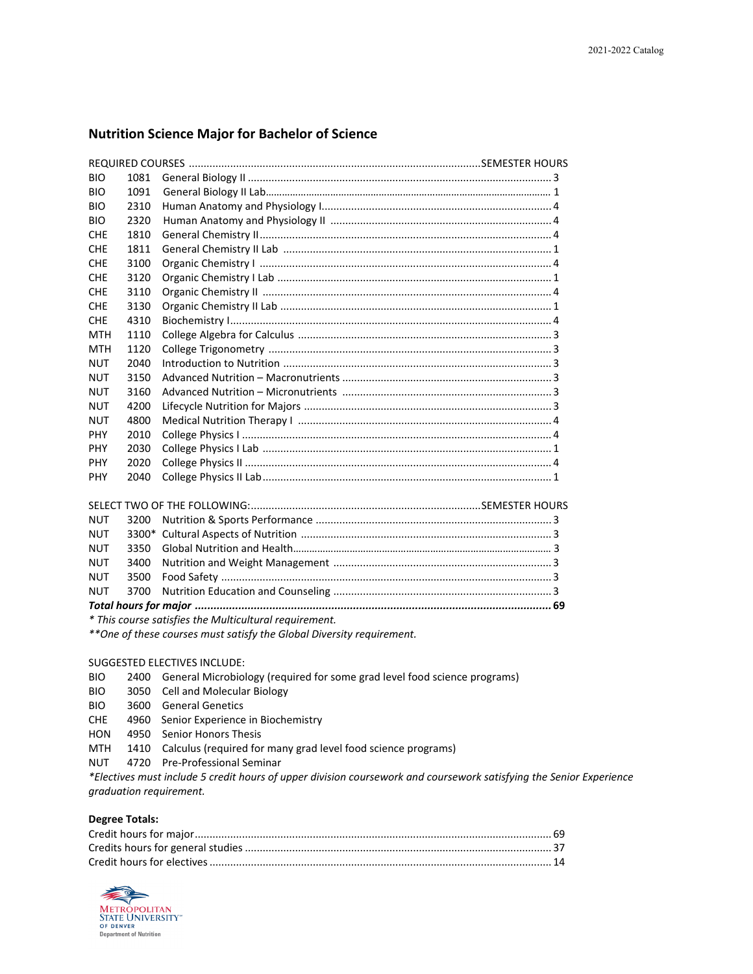#### **Nutrition Science Major for Bachelor of Science**

| <b>BIO</b> | 1081 |                              |                       |
|------------|------|------------------------------|-----------------------|
| <b>BIO</b> | 1091 |                              |                       |
| <b>BIO</b> | 2310 |                              |                       |
| <b>BIO</b> | 2320 |                              |                       |
| <b>CHE</b> | 1810 |                              |                       |
| <b>CHE</b> | 1811 |                              |                       |
| <b>CHF</b> | 3100 |                              |                       |
| <b>CHE</b> | 3120 |                              |                       |
| <b>CHE</b> | 3110 |                              |                       |
| <b>CHE</b> | 3130 |                              |                       |
| <b>CHF</b> | 4310 |                              |                       |
| <b>MTH</b> | 1110 |                              |                       |
| <b>MTH</b> | 1120 |                              |                       |
| <b>NUT</b> | 2040 |                              |                       |
| <b>NUT</b> | 3150 |                              |                       |
| <b>NUT</b> | 3160 |                              |                       |
| <b>NUT</b> | 4200 |                              |                       |
| <b>NUT</b> | 4800 |                              |                       |
| <b>PHY</b> | 2010 |                              |                       |
| <b>PHY</b> | 2030 |                              |                       |
| <b>PHY</b> | 2020 |                              |                       |
| <b>PHY</b> | 2040 |                              |                       |
|            |      | SELECT TWO OF THE EQUIOMING. | <b>SEMESTER HOURS</b> |

| NUT                                                                                 |  |  |  |  |  |
|-------------------------------------------------------------------------------------|--|--|--|--|--|
|                                                                                     |  |  |  |  |  |
|                                                                                     |  |  |  |  |  |
|                                                                                     |  |  |  |  |  |
|                                                                                     |  |  |  |  |  |
| $\star$ This companion is the first than $\Lambda$ defined to all and continuous of |  |  |  |  |  |

*\* This course satisfies the Multicultural requirement.*

*\*\*One of these courses must satisfy the Global Diversity requirement.*

#### SUGGESTED ELECTIVES INCLUDE:

- BIO 2400 General Microbiology (required for some grad level food science programs)
- BIO 3050 Cell and Molecular Biology
- BIO 3600 General Genetics
- CHE 4960 Senior Experience in Biochemistry
- HON 4950 Senior Honors Thesis
- MTH 1410 Calculus (required for many grad level food science programs)
- NUT 4720 Pre-Professional Seminar

*\*Electives must include 5 credit hours of upper division coursework and coursework satisfying the Senior Experience graduation requirement.* 

#### **Degree Totals:**

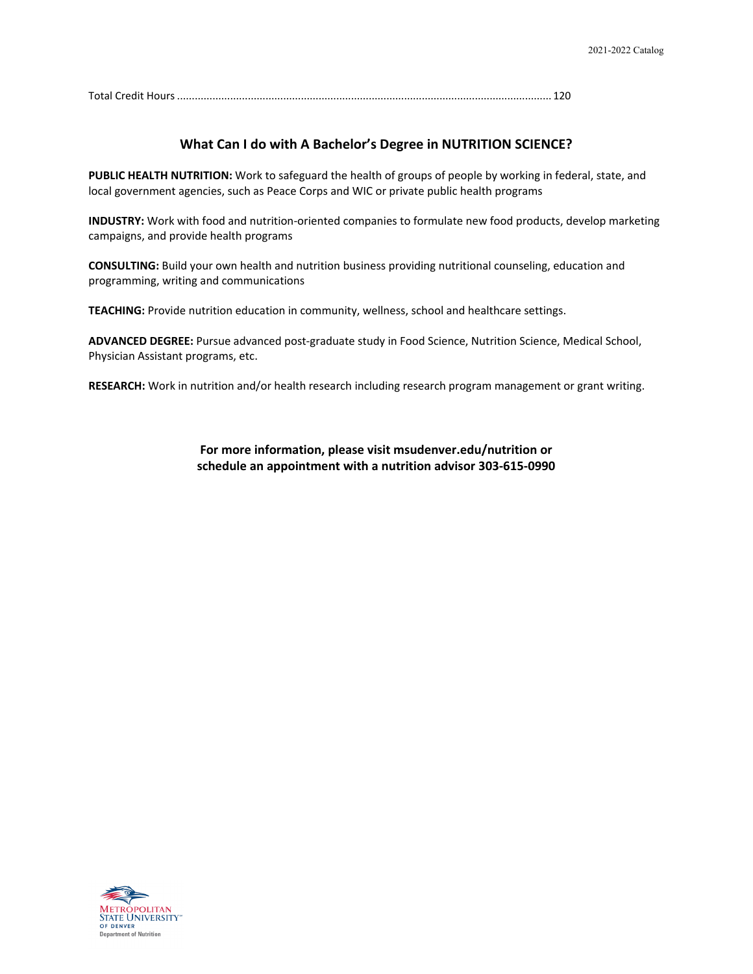Total Credit Hours............................................................................................................................... 120

#### **What Can I do with A Bachelor's Degree in NUTRITION SCIENCE?**

**PUBLIC HEALTH NUTRITION:** Work to safeguard the health of groups of people by working in federal, state, and local government agencies, such as Peace Corps and WIC or private public health programs

**INDUSTRY:** Work with food and nutrition-oriented companies to formulate new food products, develop marketing campaigns, and provide health programs

**CONSULTING:** Build your own health and nutrition business providing nutritional counseling, education and programming, writing and communications

**TEACHING:** Provide nutrition education in community, wellness, school and healthcare settings.

**ADVANCED DEGREE:** Pursue advanced post-graduate study in Food Science, Nutrition Science, Medical School, Physician Assistant programs, etc.

**RESEARCH:** Work in nutrition and/or health research including research program management or grant writing.

**For more information, please visit msudenver.edu/nutrition or schedule an appointment with a nutrition advisor 303-615-0990**